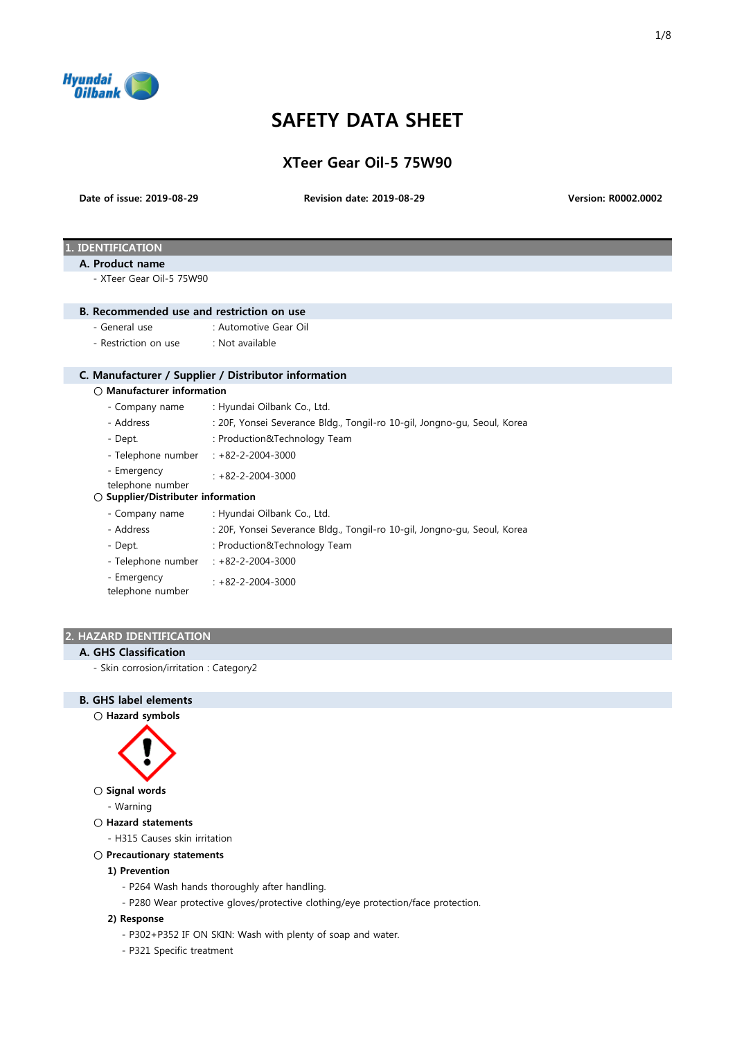

# SAFETY DATA SHEET

XTeer Gear Oil-5 75W90

Date of issue: 2019-08-29

Revision date: 2019-08-29 Version: R0002.0002

# . **IDENTIFICATION**

# A. Product name

- XTeer Gear Oil-5 75W90

#### B. Recommended use and restriction on use

- General use : Automotive Gear Oil
- Restriction on use : Not available

# C. Manufacturer / Supplier / Distributor information

#### ○ Manufacturer information

- Company name : Hyundai Oilbank Co., Ltd.
- Address : 20F, Yonsei Severance Bldg., Tongil-ro 10-gil, Jongno-gu, Seoul, Korea
- Dept.  $\cdot$  Production&Technology Team
- Telephone number : +82-2-2004-3000
- Emergency : +82-2-2004-3000
- telephone number

# ○ Supplier/Distributer information

- Company name : Hyundai Oilbank Co., Ltd.
- Address : 20F, Yonsei Severance Bldg., Tongil-ro 10-gil, Jongno-gu, Seoul, Korea
- Dept.  $\cdot$  Production&Technology Team
- Telephone number : +82-2-2004-3000
- Emergency telephone number : +82-2-2004-3000

#### 2. HAZARD IDENTIFICATION

#### A. GHS Classification

- Skin corrosion/irritation : Category2

# B. GHS label elements

#### ○ Hazard symbols



- Signal words
	- Warning

# ○ Hazard statements

- H315 Causes skin irritation

# ○ Precautionary statements

# 1) Prevention

- P264 Wash hands thoroughly after handling.
- P280 Wear protective gloves/protective clothing/eye protection/face protection.

#### 2) Response

- P302+P352 IF ON SKIN: Wash with plenty of soap and water.
- P321 Specific treatment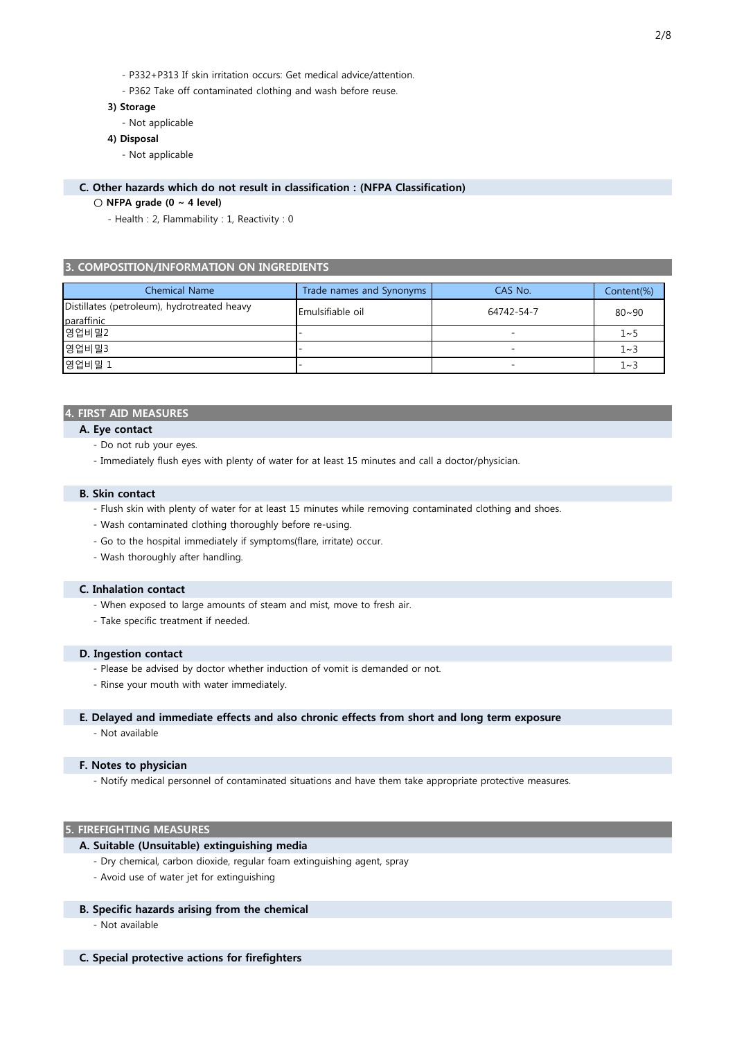- P332+P313 If skin irritation occurs: Get medical advice/attention.
- P362 Take off contaminated clothing and wash before reuse.

#### 3) Storage

- Not applicable

#### 4) Disposal

- Not applicable

# C. Other hazards which do not result in classification : (NFPA Classification)

### $\bigcirc$  NFPA grade (0 ~ 4 level)

- Health : 2, Flammability : 1, Reactivity : 0

#### 3. COMPOSITION/INFORMATION ON INGREDIENTS

| Chemical Name                                             | Trade names and Synonyms | CAS No.    | Content(%) |
|-----------------------------------------------------------|--------------------------|------------|------------|
| Distillates (petroleum), hydrotreated heavy<br>paraffinic | Emulsifiable oil         | 64742-54-7 | $80 - 90$  |
| 영업비밀2                                                     |                          |            | $1 - 5$    |
| 영업비밀3                                                     |                          |            | 1~3        |
| 영업비밀 1                                                    |                          |            | $1 - 3$    |

# 4. FIRST AID MEASURES

- A. Eye contact
	- Do not rub your eyes.
	- Immediately flush eyes with plenty of water for at least 15 minutes and call a doctor/physician.

#### B. Skin contact

- Flush skin with plenty of water for at least 15 minutes while removing contaminated clothing and shoes.
- Wash contaminated clothing thoroughly before re-using.
- Go to the hospital immediately if symptoms(flare, irritate) occur.
- Wash thoroughly after handling.

# C. Inhalation contact

- When exposed to large amounts of steam and mist, move to fresh air.
- Take specific treatment if needed.

#### D. Ingestion contact

- Please be advised by doctor whether induction of vomit is demanded or not.
- Rinse your mouth with water immediately.

#### E. Delayed and immediate effects and also chronic effects from short and long term exposure

- Not available

#### F. Notes to physician

- Notify medical personnel of contaminated situations and have them take appropriate protective measures.

# 5. FIREFIGHTING MEASURES

# A. Suitable (Unsuitable) extinguishing media

- Dry chemical, carbon dioxide, regular foam extinguishing agent, spray
- Avoid use of water jet for extinguishing

# B. Specific hazards arising from the chemical

- Not available

# C. Special protective actions for firefighters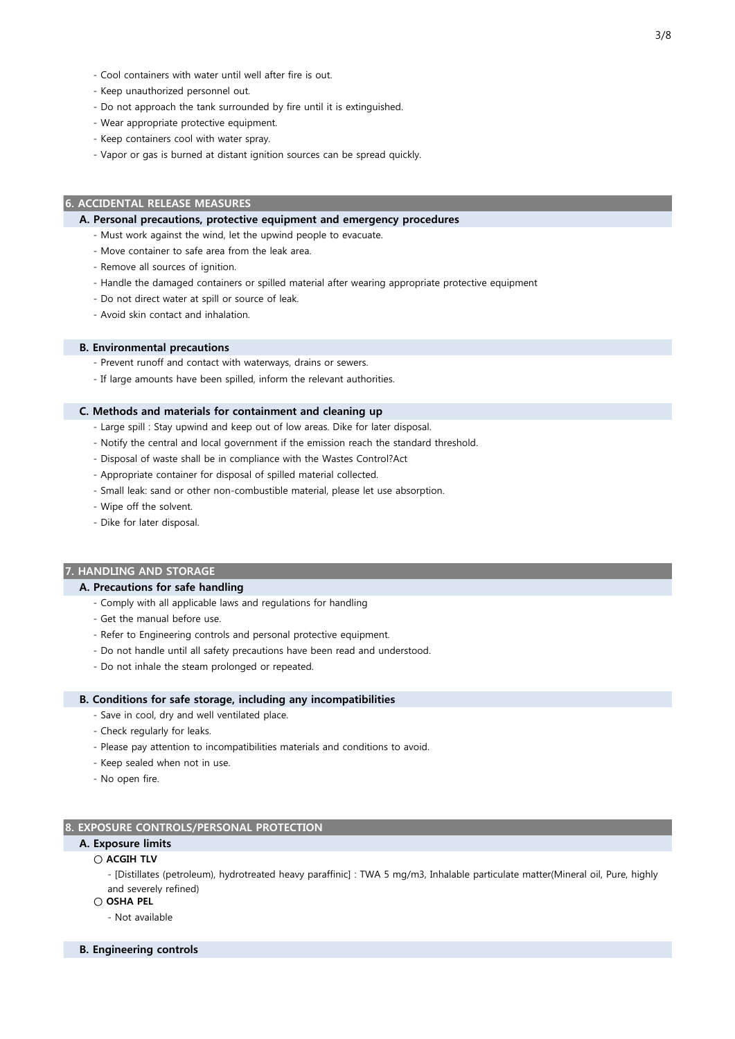- Cool containers with water until well after fire is out.
- Keep unauthorized personnel out.
- Do not approach the tank surrounded by fire until it is extinguished.
- Wear appropriate protective equipment.
- Keep containers cool with water spray.
- Vapor or gas is burned at distant ignition sources can be spread quickly.

#### 6. ACCIDENTAL RELEASE MEASURES

#### A. Personal precautions, protective equipment and emergency procedures

- Must work against the wind, let the upwind people to evacuate.
- Move container to safe area from the leak area.
- Remove all sources of ignition.
- Handle the damaged containers or spilled material after wearing appropriate protective equipment
- Do not direct water at spill or source of leak.
- Avoid skin contact and inhalation.

#### B. Environmental precautions

- Prevent runoff and contact with waterways, drains or sewers.
- If large amounts have been spilled, inform the relevant authorities.

#### C. Methods and materials for containment and cleaning up

- Large spill : Stay upwind and keep out of low areas. Dike for later disposal.
- Notify the central and local government if the emission reach the standard threshold.
- Disposal of waste shall be in compliance with the Wastes Control?Act
- Appropriate container for disposal of spilled material collected.
- Small leak: sand or other non-combustible material, please let use absorption.
- Wipe off the solvent.
- Dike for later disposal.

#### 7. HANDLING AND STORAGE

#### A. Precautions for safe handling

- Comply with all applicable laws and regulations for handling
- Get the manual before use.
- Refer to Engineering controls and personal protective equipment.
- Do not handle until all safety precautions have been read and understood.
- Do not inhale the steam prolonged or repeated.

#### B. Conditions for safe storage, including any incompatibilities

- Save in cool, dry and well ventilated place.
- Check regularly for leaks.
- Please pay attention to incompatibilities materials and conditions to avoid.
- Keep sealed when not in use.
- No open fire.

#### 8. EXPOSURE CONTROLS/PERSONAL PROTECTION

# A. Exposure limits

○ ACGIH TLV

- [Distillates (petroleum), hydrotreated heavy paraffinic] : TWA 5 mg/m3, Inhalable particulate matter(Mineral oil, Pure, highly and severely refined)
- OSHA PEL
	- Not available
- B. Engineering controls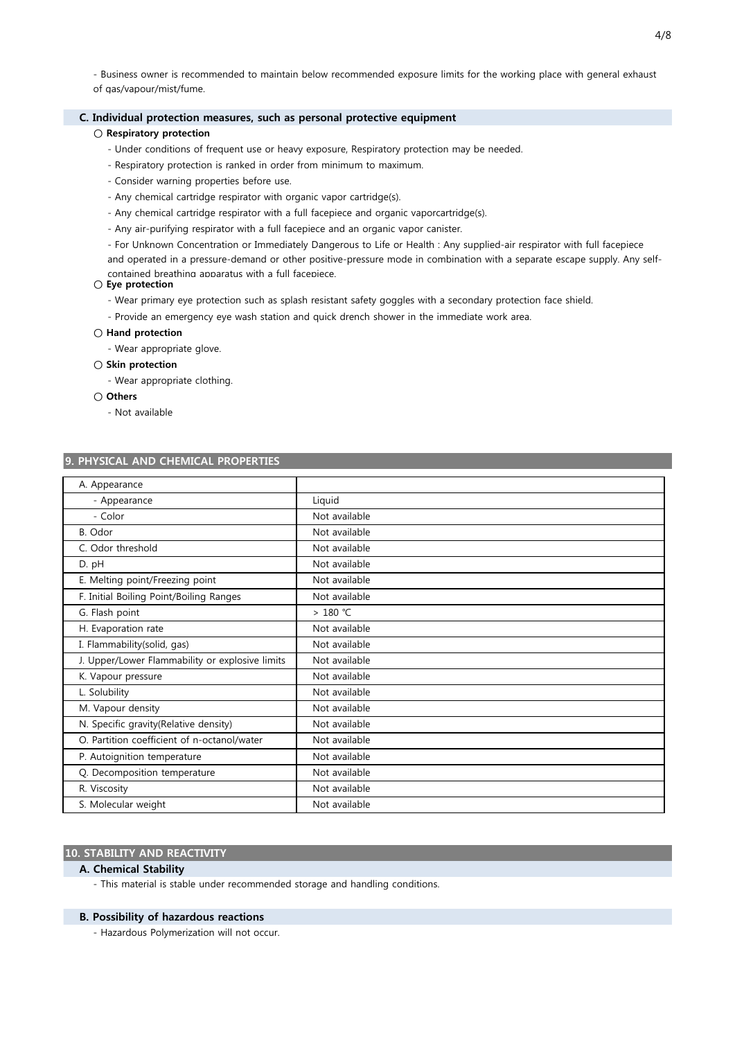- Business owner is recommended to maintain below recommended exposure limits for the working place with general exhaust of gas/vapour/mist/fume.

# C. Individual protection measures, such as personal protective equipment

#### ○ Respiratory protection

- Under conditions of frequent use or heavy exposure, Respiratory protection may be needed.
- Respiratory protection is ranked in order from minimum to maximum.
- Consider warning properties before use.
- Any chemical cartridge respirator with organic vapor cartridge(s).
- Any chemical cartridge respirator with a full facepiece and organic vaporcartridge(s).
- Any air-purifying respirator with a full facepiece and an organic vapor canister.
- For Unknown Concentration or Immediately Dangerous to Life or Health : Any supplied-air respirator with full facepiece and operated in a pressure-demand or other positive-pressure mode in combination with a separate escape supply. Any self-

contained breathing apparatus with a full facepiece.

# ○ Eye protection

- Wear primary eye protection such as splash resistant safety goggles with a secondary protection face shield.
- Provide an emergency eye wash station and quick drench shower in the immediate work area.

# ○ Hand protection

- Wear appropriate glove.

# ○ Skin protection

- Wear appropriate clothing.

# ○ Others

- Not available

# 9. PHYSICAL AND CHEMICAL PROPERTIES

| A. Appearance                                   |               |
|-------------------------------------------------|---------------|
| - Appearance                                    | Liquid        |
| - Color                                         | Not available |
| B. Odor                                         | Not available |
| C. Odor threshold                               | Not available |
| D. pH                                           | Not available |
| E. Melting point/Freezing point                 | Not available |
| F. Initial Boiling Point/Boiling Ranges         | Not available |
| G. Flash point                                  | > 180 ℃       |
| H. Evaporation rate                             | Not available |
| I. Flammability(solid, gas)                     | Not available |
| J. Upper/Lower Flammability or explosive limits | Not available |
| K. Vapour pressure                              | Not available |
| L. Solubility                                   | Not available |
| M. Vapour density                               | Not available |
| N. Specific gravity(Relative density)           | Not available |
| O. Partition coefficient of n-octanol/water     | Not available |
| P. Autoignition temperature                     | Not available |
| Q. Decomposition temperature                    | Not available |
| R. Viscosity                                    | Not available |
| S. Molecular weight                             | Not available |

# 10. STABILITY AND REACTIVITY

# A. Chemical Stability

- This material is stable under recommended storage and handling conditions.

#### B. Possibility of hazardous reactions

- Hazardous Polymerization will not occur.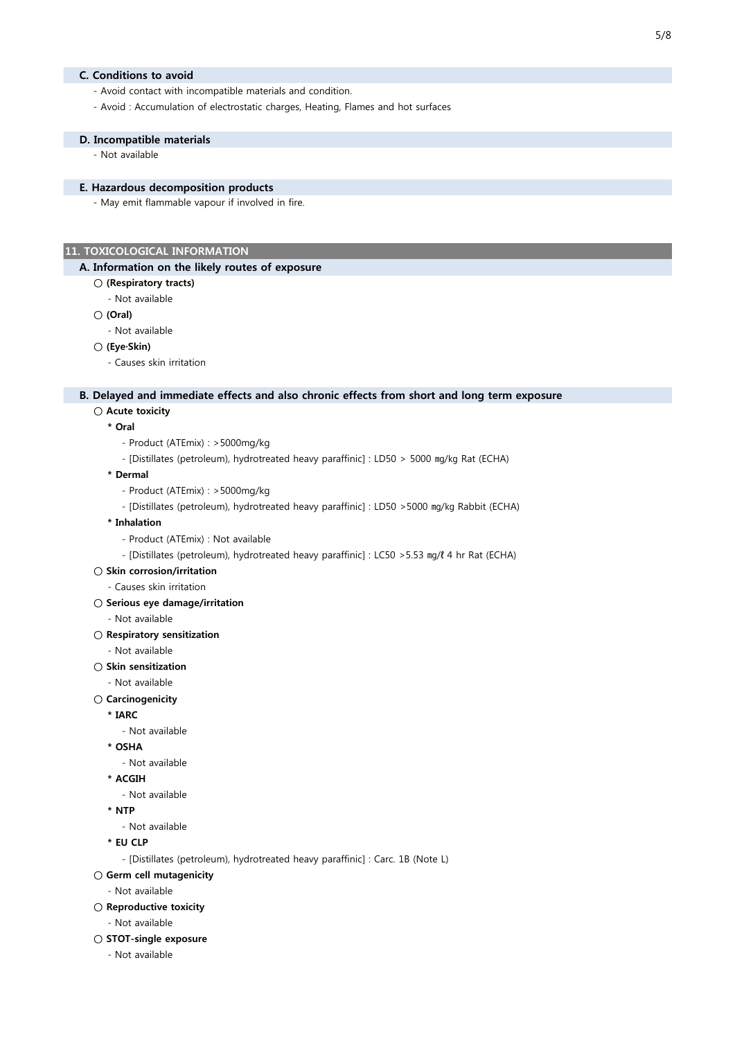# C. Conditions to avoid

- Avoid contact with incompatible materials and condition.
- Avoid : Accumulation of electrostatic charges, Heating, Flames and hot surfaces

#### D. Incompatible materials

- Not available

# E. Hazardous decomposition products

- May emit flammable vapour if involved in fire.

# 11. TOXICOLOGICAL INFORMATION

#### A. Information on the likely routes of exposure

- (Respiratory tracts)
	- Not available
- (Oral)
	- Not available

#### ○ (Eye·Skin)

- Causes skin irritation

#### B. Delayed and immediate effects and also chronic effects from short and long term exposure

# ○ Acute toxicity

- \* Oral
	- Product (ATEmix) : >5000mg/kg
	- [Distillates (petroleum), hydrotreated heavy paraffinic] : LD50 > 5000 ㎎/㎏ Rat (ECHA)

#### \* Dermal

- Product (ATEmix) : >5000mg/kg
- [Distillates (petroleum), hydrotreated heavy paraffinic] : LD50 >5000 ㎎/㎏ Rabbit (ECHA)
- \* Inhalation
	- Product (ATEmix) : Not available
	- [Distillates (petroleum), hydrotreated heavy paraffinic] : LC50 >5.53 ㎎/ℓ 4 hr Rat (ECHA)

#### ○ Skin corrosion/irritation

- Causes skin irritation
- Serious eye damage/irritation
	- Not available
- Respiratory sensitization
	- Not available
- Skin sensitization
	- Not available
- Carcinogenicity

# \* IARC

- Not available
- \* OSHA
	- Not available
- \* ACGIH
	- Not available
- \* NTP
	- Not available
- \* EU CLP
	- [Distillates (petroleum), hydrotreated heavy paraffinic] : Carc. 1B (Note L)
- Germ cell mutagenicity
	- Not available
- Reproductive toxicity
	- Not available
- STOT-single exposure
	- Not available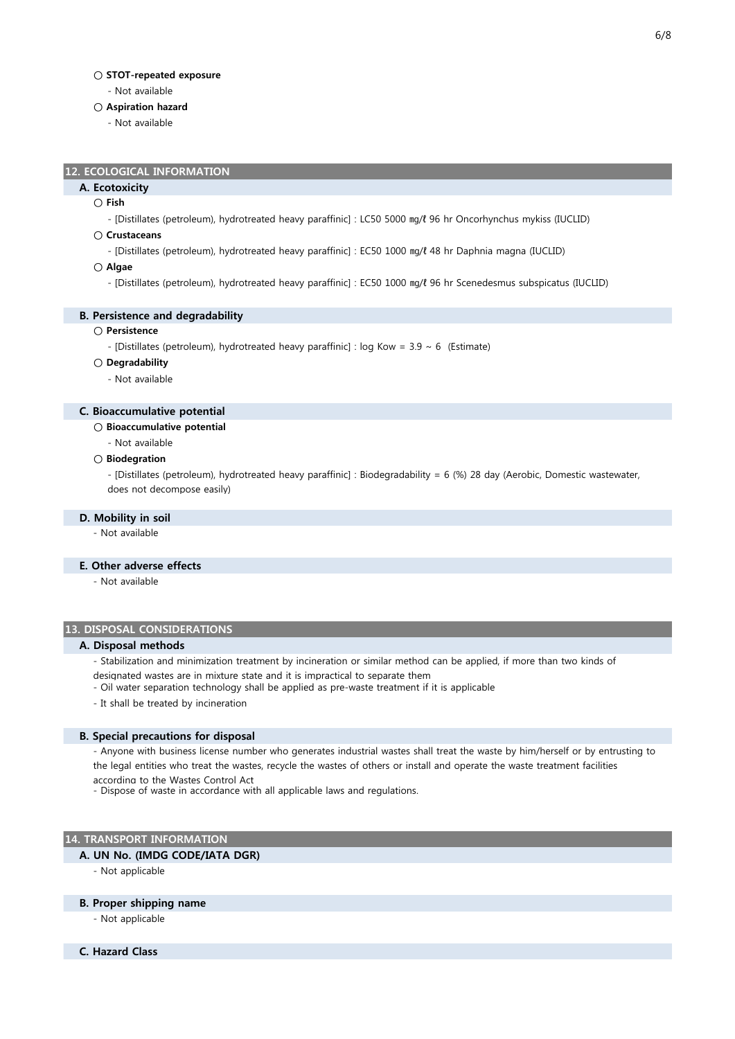#### ○ STOT-repeated exposure

- Not available

#### ○ Aspiration hazard

- Not available

## 12. ECOLOGICAL INFORMATION

# A. Ecotoxicity

# ○ Fish

- [Distillates (petroleum), hydrotreated heavy paraffinic] : LC50 5000 ㎎/ℓ 96 hr Oncorhynchus mykiss (IUCLID)

#### ○ Crustaceans

- [Distillates (petroleum), hydrotreated heavy paraffinic] : EC50 1000 ㎎/ℓ 48 hr Daphnia magna (IUCLID)

○ Algae

- [Distillates (petroleum), hydrotreated heavy paraffinic] : EC50 1000 ㎎/ℓ 96 hr Scenedesmus subspicatus (IUCLID)

#### B. Persistence and degradability

# ○ Persistence

- [Distillates (petroleum), hydrotreated heavy paraffinic] : log Kow =  $3.9 \sim 6$  (Estimate)
- Degradability

#### - Not available

#### C. Bioaccumulative potential

- Bioaccumulative potential
	- Not available

#### ○ Biodegration

- [Distillates (petroleum), hydrotreated heavy paraffinic] : Biodegradability = 6 (%) 28 day (Aerobic, Domestic wastewater, does not decompose easily)

#### D. Mobility in soil

- Not available

#### E. Other adverse effects

- Not available

# 13. DISPOSAL CONSIDERATIONS

#### A. Disposal methods

- Stabilization and minimization treatment by incineration or similar method can be applied, if more than two kinds of designated wastes are in mixture state and it is impractical to separate them
- Oil water separation technology shall be applied as pre-waste treatment if it is applicable
- It shall be treated by incineration

#### B. Special precautions for disposal

- Anyone with business license number who generates industrial wastes shall treat the waste by him/herself or by entrusting to the legal entities who treat the wastes, recycle the wastes of others or install and operate the waste treatment facilities according to the Wastes Control Act

- Dispose of waste in accordance with all applicable laws and regulations.

#### 14. TRANSPORT INFORMATION

#### A. UN No. (IMDG CODE/IATA DGR)

- Not applicable

#### B. Proper shipping name

- Not applicable
- C. Hazard Class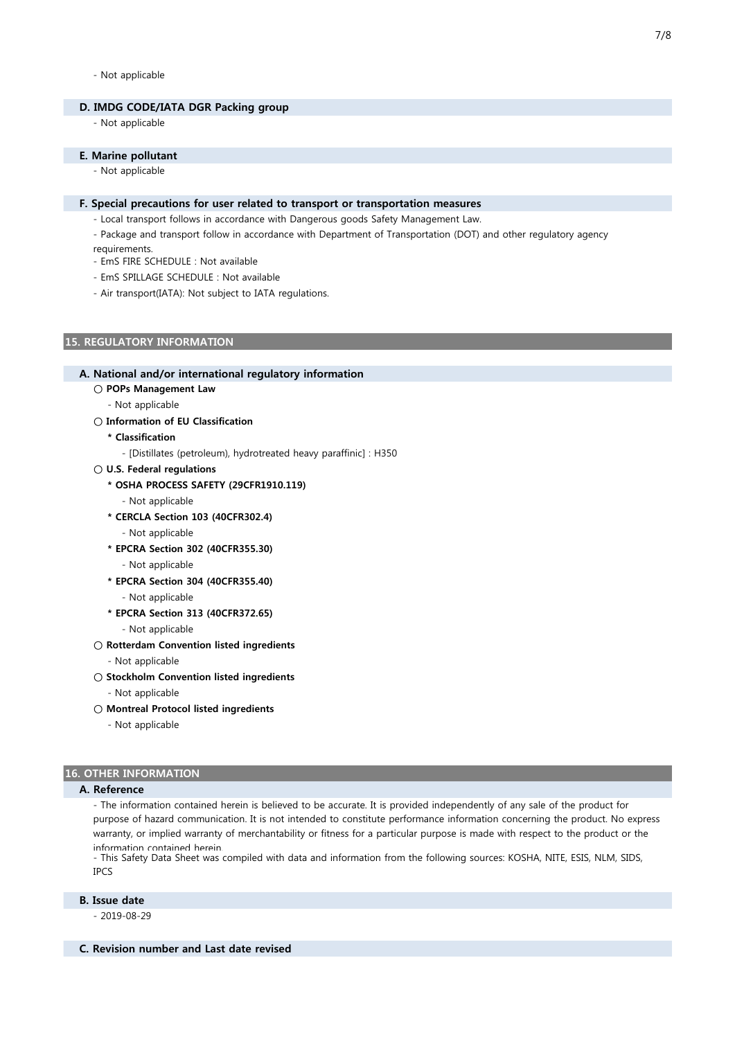#### - Not applicable

#### D. IMDG CODE/IATA DGR Packing group

- Not applicable

#### E. Marine pollutant

- Not applicable

#### F. Special precautions for user related to transport or transportation measures

- Local transport follows in accordance with Dangerous goods Safety Management Law.
- Package and transport follow in accordance with Department of Transportation (DOT) and other regulatory agency requirements.
- EmS FIRE SCHEDULE : Not available
- EmS SPILLAGE SCHEDULE : Not available
- Air transport(IATA): Not subject to IATA regulations.

# 15. REGULATORY INFORMATION

#### A. National and/or international regulatory information

- POPs Management Law
	- Not applicable
- Information of EU Classification
	- \* Classification

- [Distillates (petroleum), hydrotreated heavy paraffinic] : H350

- U.S. Federal regulations
	- \* OSHA PROCESS SAFETY (29CFR1910.119)
		- Not applicable
	- \* CERCLA Section 103 (40CFR302.4)
		- Not applicable
	- \* EPCRA Section 302 (40CFR355.30)
		- Not applicable
	- \* EPCRA Section 304 (40CFR355.40)
		- Not applicable
	- \* EPCRA Section 313 (40CFR372.65)
		- Not applicable
- Rotterdam Convention listed ingredients
	- Not applicable
- Stockholm Convention listed ingredients
	- Not applicable
- Montreal Protocol listed ingredients
	- Not applicable

#### 16. OTHER INFORMATION

### A. Reference

- The information contained herein is believed to be accurate. It is provided independently of any sale of the product for purpose of hazard communication. It is not intended to constitute performance information concerning the product. No express warranty, or implied warranty of merchantability or fitness for a particular purpose is made with respect to the product or the information contained herein.

- This Safety Data Sheet was compiled with data and information from the following sources: KOSHA, NITE, ESIS, NLM, SIDS, IPCS

# B. Issue date

- 2019-08-29

C. Revision number and Last date revised